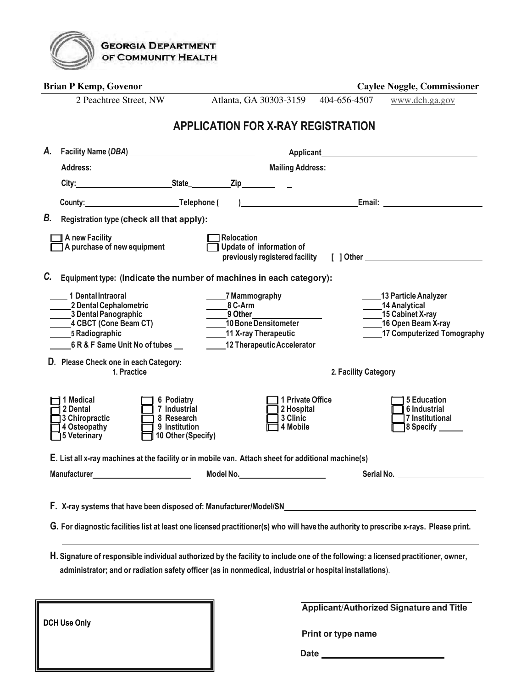## **GEORGIA DEPARTMENT<br>OF COMMUNITY HEALTH**

l,

|                                                 | <b>Brian P Kemp, Govenor</b>                                                                                                                                                                                                                   |                                                             |                                                        |                                           | <b>Caylee Noggle, Commissioner</b>                                                                            |
|-------------------------------------------------|------------------------------------------------------------------------------------------------------------------------------------------------------------------------------------------------------------------------------------------------|-------------------------------------------------------------|--------------------------------------------------------|-------------------------------------------|---------------------------------------------------------------------------------------------------------------|
|                                                 | 2 Peachtree Street, NW                                                                                                                                                                                                                         |                                                             | Atlanta, GA 30303-3159                                 | 404-656-4507                              | www.dch.ga.gov                                                                                                |
|                                                 |                                                                                                                                                                                                                                                |                                                             |                                                        | <b>APPLICATION FOR X-RAY REGISTRATION</b> |                                                                                                               |
| А.                                              |                                                                                                                                                                                                                                                |                                                             |                                                        |                                           |                                                                                                               |
|                                                 |                                                                                                                                                                                                                                                |                                                             |                                                        |                                           |                                                                                                               |
|                                                 |                                                                                                                                                                                                                                                |                                                             |                                                        |                                           |                                                                                                               |
|                                                 |                                                                                                                                                                                                                                                |                                                             |                                                        |                                           |                                                                                                               |
| В.<br>Registration type (check all that apply): |                                                                                                                                                                                                                                                |                                                             |                                                        |                                           |                                                                                                               |
|                                                 | A new Facility<br>A purchase of new equipment                                                                                                                                                                                                  | <b>Relocation</b>                                           | Update of information of                               |                                           |                                                                                                               |
| C.                                              | Equipment type: (Indicate the number of machines in each category):                                                                                                                                                                            |                                                             |                                                        |                                           |                                                                                                               |
|                                                 | 1 Dental Intraoral<br>2 Dental Cephalometric<br>3 Dental Panographic<br>4 CBCT (Cone Beam CT)<br>5 Radiographic<br>6 R & F Same Unit No of tubes                                                                                               | 7 Mammography<br>8 C-Arm<br>9 Other<br>11 X-ray Therapeutic | 10 Bone Densitometer<br>12 Therapeutic Accelerator     |                                           | 13 Particle Analyzer<br>14 Analytical<br>15 Cabinet X-ray<br>16 Open Beam X-ray<br>17 Computerized Tomography |
|                                                 | D. Please Check one in each Category:<br>1. Practice                                                                                                                                                                                           |                                                             |                                                        | 2. Facility Category                      |                                                                                                               |
|                                                 | ⊣ 1 Medical<br>6 Podiatry<br>7 Industrial<br>2 Dental<br>3 Chiropractic<br>8 Research<br>4 Osteopathy<br>9 Institution<br>5 Veterinary<br>10 Other (Specify)                                                                                   |                                                             | 1 Private Office<br>2 Hospital<br>3 Clinic<br>4 Mobile |                                           | <b>5 Education</b><br>6 Industrial<br>7 Institutional<br>8 Specify                                            |
|                                                 | E. List all x-ray machines at the facility or in mobile van. Attach sheet for additional machine(s)                                                                                                                                            |                                                             |                                                        |                                           |                                                                                                               |
|                                                 | Manufacturer                                                                                                                                                                                                                                   |                                                             | Model No.                                              |                                           | Serial No. <u>_____________________</u>                                                                       |
|                                                 | F.X-ray systems that have been disposed of: Manufacturer/Model/SN___________________________________                                                                                                                                           |                                                             |                                                        |                                           |                                                                                                               |
|                                                 | G. For diagnostic facilities list at least one licensed practitioner(s) who will have the authority to prescribe x-rays. Please print.                                                                                                         |                                                             |                                                        |                                           |                                                                                                               |
|                                                 | H. Signature of responsible individual authorized by the facility to include one of the following: a licensed practitioner, owner,<br>administrator; and or radiation safety officer (as in nonmedical, industrial or hospital installations). |                                                             |                                                        |                                           |                                                                                                               |
|                                                 | <b>DCH Use Only</b>                                                                                                                                                                                                                            |                                                             |                                                        |                                           | <b>Applicant/Authorized Signature and Title</b>                                                               |

Print or type name

Date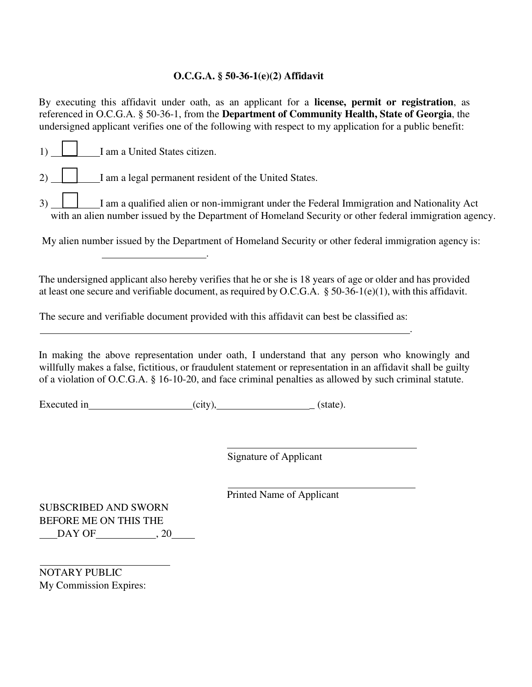## **O.C.G.A. § 50-36-1(e)(2) Affidavit**

By executing this affidavit under oath, as an applicant for a **license, permit or registration**, as referenced in O.C.G.A. § 50-36-1, from the **Department of Community Health, State of Georgia**, the undersigned applicant verifies one of the following with respect to my application for a public benefit:

1) I am a United States citizen.

- 2) I am a legal permanent resident of the United States.
- 3) I am a qualified alien or non-immigrant under the Federal Immigration and Nationality Act with an alien number issued by the Department of Homeland Security or other federal immigration agency.

My alien number issued by the Department of Homeland Security or other federal immigration agency is:

The undersigned applicant also hereby verifies that he or she is 18 years of age or older and has provided at least one secure and verifiable document, as required by O.C.G.A. § 50-36-1(e)(1), with this affidavit.

The secure and verifiable document provided with this affidavit can best be classified as:

.

In making the above representation under oath, I understand that any person who knowingly and willfully makes a false, fictitious, or fraudulent statement or representation in an affidavit shall be guilty of a violation of O.C.G.A. § 16-10-20, and face criminal penalties as allowed by such criminal statute.

Executed in (city), \_ (state).

Signature of Applicant

Printed Name of Applicant

.

SUBSCRIBED AND SWORN BEFORE ME ON THIS THE  $DAY OF$  , 20

NOTARY PUBLIC My Commission Expires: